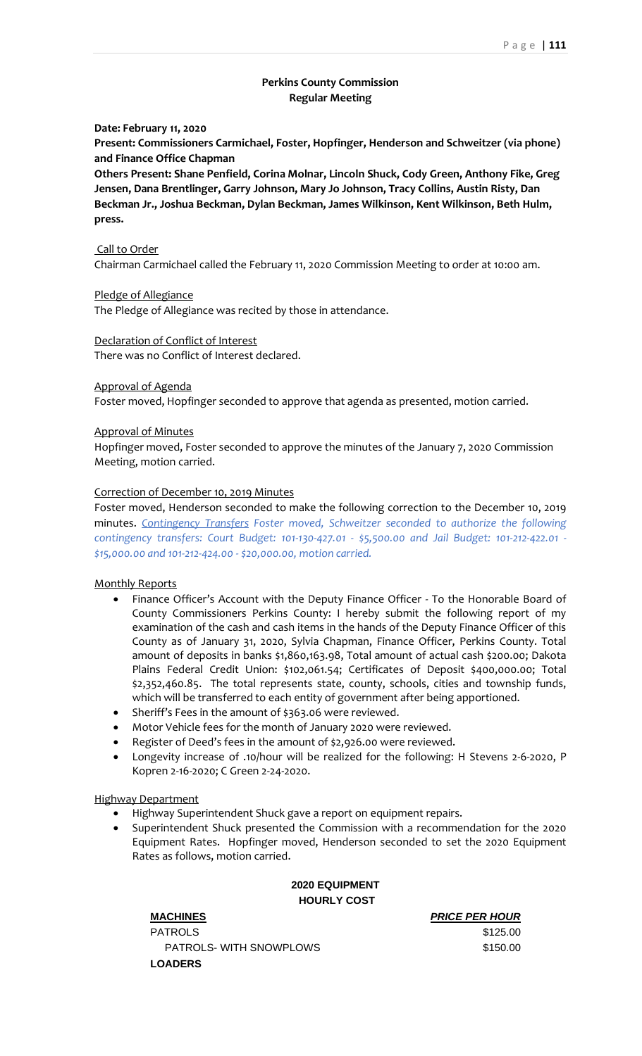# **Perkins County Commission Regular Meeting**

## **Date: February 11, 2020**

**Present: Commissioners Carmichael, Foster, Hopfinger, Henderson and Schweitzer (via phone) and Finance Office Chapman**

**Others Present: Shane Penfield, Corina Molnar, Lincoln Shuck, Cody Green, Anthony Fike, Greg Jensen, Dana Brentlinger, Garry Johnson, Mary Jo Johnson, Tracy Collins, Austin Risty, Dan Beckman Jr., Joshua Beckman, Dylan Beckman, James Wilkinson, Kent Wilkinson, Beth Hulm, press.**

### Call to Order

Chairman Carmichael called the February 11, 2020 Commission Meeting to order at 10:00 am.

### Pledge of Allegiance

The Pledge of Allegiance was recited by those in attendance.

## Declaration of Conflict of Interest

There was no Conflict of Interest declared.

### Approval of Agenda

Foster moved, Hopfinger seconded to approve that agenda as presented, motion carried.

### Approval of Minutes

Hopfinger moved, Foster seconded to approve the minutes of the January 7, 2020 Commission Meeting, motion carried.

## Correction of December 10, 2019 Minutes

Foster moved, Henderson seconded to make the following correction to the December 10, 2019 minutes. *Contingency Transfers Foster moved, Schweitzer seconded to authorize the following contingency transfers: Court Budget: 101-130-427.01 - \$5,500.00 and Jail Budget: 101-212-422.01 - \$15,000.00 and 101-212-424.00 - \$20,000.00, motion carried.*

### Monthly Reports

- Finance Officer's Account with the Deputy Finance Officer To the Honorable Board of County Commissioners Perkins County: I hereby submit the following report of my examination of the cash and cash items in the hands of the Deputy Finance Officer of this County as of January 31, 2020, Sylvia Chapman, Finance Officer, Perkins County. Total amount of deposits in banks \$1,860,163.98, Total amount of actual cash \$200.00; Dakota Plains Federal Credit Union: \$102,061.54; Certificates of Deposit \$400,000.00; Total \$2,352,460.85. The total represents state, county, schools, cities and township funds, which will be transferred to each entity of government after being apportioned.
- Sheriff's Fees in the amount of \$363.06 were reviewed.
- Motor Vehicle fees for the month of January 2020 were reviewed.
- Register of Deed's fees in the amount of \$2,926.00 were reviewed.
- Longevity increase of .10/hour will be realized for the following: H Stevens 2-6-2020, P Kopren 2-16-2020; C Green 2-24-2020.

### Highway Department

- Highway Superintendent Shuck gave a report on equipment repairs.
- Superintendent Shuck presented the Commission with a recommendation for the 2020 Equipment Rates. Hopfinger moved, Henderson seconded to set the 2020 Equipment Rates as follows, motion carried.

# **2020 EQUIPMENT HOURLY COST**

**MACHINES** *PRICE PER HOUR*

PATROLS \$125.00 PATROLS- WITH SNOWPLOWS **\$150.00 LOADERS**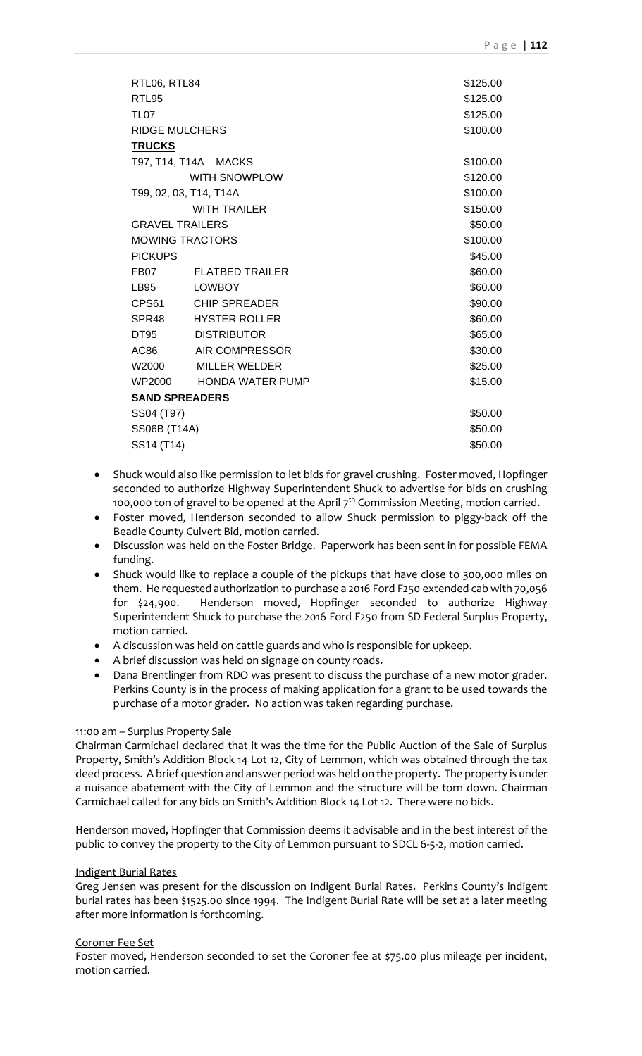| RTL06, RTL84           |                         | \$125.00 |
|------------------------|-------------------------|----------|
| RTL95                  |                         | \$125.00 |
| <b>TL07</b>            |                         | \$125.00 |
| <b>RIDGE MULCHERS</b>  |                         | \$100.00 |
| <b>TRUCKS</b>          |                         |          |
| T97, T14, T14A MACKS   |                         | \$100.00 |
|                        | WITH SNOWPLOW           | \$120.00 |
| T99, 02, 03, T14, T14A |                         | \$100.00 |
|                        | <b>WITH TRAILER</b>     | \$150.00 |
| <b>GRAVEL TRAILERS</b> |                         | \$50.00  |
| <b>MOWING TRACTORS</b> |                         | \$100.00 |
| <b>PICKUPS</b>         |                         | \$45.00  |
| FB07                   | <b>FLATBED TRAILER</b>  | \$60.00  |
| <b>LB95</b>            | <b>LOWBOY</b>           | \$60.00  |
|                        | CPS61 CHIP SPREADER     | \$90.00  |
| SPR <sub>48</sub>      | HYSTER ROLLER           | \$60.00  |
| DT95                   | DISTRIBUTOR             | \$65.00  |
| AC86                   | AIR COMPRESSOR          | \$30.00  |
| W2000                  | MILLER WELDER           | \$25.00  |
|                        | WP2000 HONDA WATER PUMP | \$15.00  |
|                        | <b>SAND SPREADERS</b>   |          |
| SS04 (T97)             |                         | \$50.00  |
| SS06B (T14A)           |                         | \$50.00  |
| SS14 (T14)             |                         | \$50.00  |

- Shuck would also like permission to let bids for gravel crushing. Foster moved, Hopfinger seconded to authorize Highway Superintendent Shuck to advertise for bids on crushing 100,000 ton of gravel to be opened at the April 7<sup>th</sup> Commission Meeting, motion carried.
- Foster moved, Henderson seconded to allow Shuck permission to piggy-back off the Beadle County Culvert Bid, motion carried.
- Discussion was held on the Foster Bridge. Paperwork has been sent in for possible FEMA funding.
- Shuck would like to replace a couple of the pickups that have close to 300,000 miles on them. He requested authorization to purchase a 2016 Ford F250 extended cab with 70,056 for \$24,900. Henderson moved, Hopfinger seconded to authorize Highway Superintendent Shuck to purchase the 2016 Ford F250 from SD Federal Surplus Property, motion carried.
- A discussion was held on cattle guards and who is responsible for upkeep.
- A brief discussion was held on signage on county roads.
- Dana Brentlinger from RDO was present to discuss the purchase of a new motor grader. Perkins County is in the process of making application for a grant to be used towards the purchase of a motor grader. No action was taken regarding purchase.

### 11:00 am – Surplus Property Sale

Chairman Carmichael declared that it was the time for the Public Auction of the Sale of Surplus Property, Smith's Addition Block 14 Lot 12, City of Lemmon, which was obtained through the tax deed process. A brief question and answer period was held on the property. The property is under a nuisance abatement with the City of Lemmon and the structure will be torn down. Chairman Carmichael called for any bids on Smith's Addition Block 14 Lot 12. There were no bids.

Henderson moved, Hopfinger that Commission deems it advisable and in the best interest of the public to convey the property to the City of Lemmon pursuant to SDCL 6-5-2, motion carried.

### Indigent Burial Rates

Greg Jensen was present for the discussion on Indigent Burial Rates. Perkins County's indigent burial rates has been \$1525.00 since 1994. The Indigent Burial Rate will be set at a later meeting after more information is forthcoming.

### Coroner Fee Set

Foster moved, Henderson seconded to set the Coroner fee at \$75.00 plus mileage per incident, motion carried.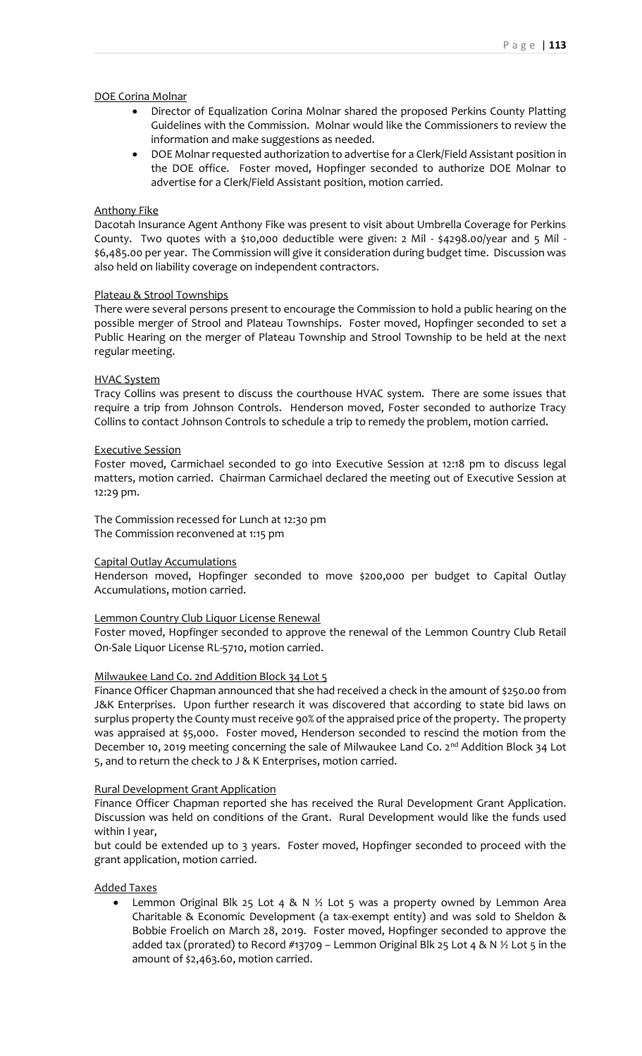### DOE Corina Molnar

- Director of Equalization Corina Molnar shared the proposed Perkins County Platting Guidelines with the Commission. Molnar would like the Commissioners to review the information and make suggestions as needed.
- DOE Molnar requested authorization to advertise for a Clerk/Field Assistant position in the DOE office. Foster moved, Hopfinger seconded to authorize DOE Molnar to advertise for a Clerk/Field Assistant position, motion carried.

## Anthony Fike

Dacotah Insurance Agent Anthony Fike was present to visit about Umbrella Coverage for Perkins County. Two quotes with a \$10,000 deductible were given: 2 Mil - \$4298.00/year and 5 Mil - \$6,485.00 per year. The Commission will give it consideration during budget time. Discussion was also held on liability coverage on independent contractors.

## Plateau & Strool Townships

There were several persons present to encourage the Commission to hold a public hearing on the possible merger of Strool and Plateau Townships. Foster moved, Hopfinger seconded to set a Public Hearing on the merger of Plateau Township and Strool Township to be held at the next regular meeting.

## HVAC System

Tracy Collins was present to discuss the courthouse HVAC system. There are some issues that require a trip from Johnson Controls. Henderson moved, Foster seconded to authorize Tracy Collins to contact Johnson Controls to schedule a trip to remedy the problem, motion carried.

## Executive Session

Foster moved, Carmichael seconded to go into Executive Session at 12:18 pm to discuss legal matters, motion carried. Chairman Carmichael declared the meeting out of Executive Session at 12:29 pm.

The Commission recessed for Lunch at 12:30 pm The Commission reconvened at 1:15 pm

### Capital Outlay Accumulations

Henderson moved, Hopfinger seconded to move \$200,000 per budget to Capital Outlay Accumulations, motion carried.

## Lemmon Country Club Liquor License Renewal

Foster moved, Hopfinger seconded to approve the renewal of the Lemmon Country Club Retail On-Sale Liquor License RL-5710, motion carried.

## Milwaukee Land Co. 2nd Addition Block 34 Lot 5

Finance Officer Chapman announced that she had received a check in the amount of \$250.00 from J&K Enterprises. Upon further research it was discovered that according to state bid laws on surplus property the County must receive 90% of the appraised price of the property. The property was appraised at \$5,000. Foster moved, Henderson seconded to rescind the motion from the December 10, 2019 meeting concerning the sale of Milwaukee Land Co. 2<sup>nd</sup> Addition Block 34 Lot 5, and to return the check to J & K Enterprises, motion carried.

### Rural Development Grant Application

Finance Officer Chapman reported she has received the Rural Development Grant Application. Discussion was held on conditions of the Grant. Rural Development would like the funds used within I year,

but could be extended up to 3 years. Foster moved, Hopfinger seconded to proceed with the grant application, motion carried.

## Added Taxes

• Lemmon Original Blk 25 Lot 4 & N  $\frac{1}{2}$  Lot 5 was a property owned by Lemmon Area Charitable & Economic Development (a tax-exempt entity) and was sold to Sheldon & Bobbie Froelich on March 28, 2019. Foster moved, Hopfinger seconded to approve the added tax (prorated) to Record #13709 - Lemmon Original Blk 25 Lot 4 & N  $\frac{1}{2}$  Lot 5 in the amount of \$2,463.60, motion carried.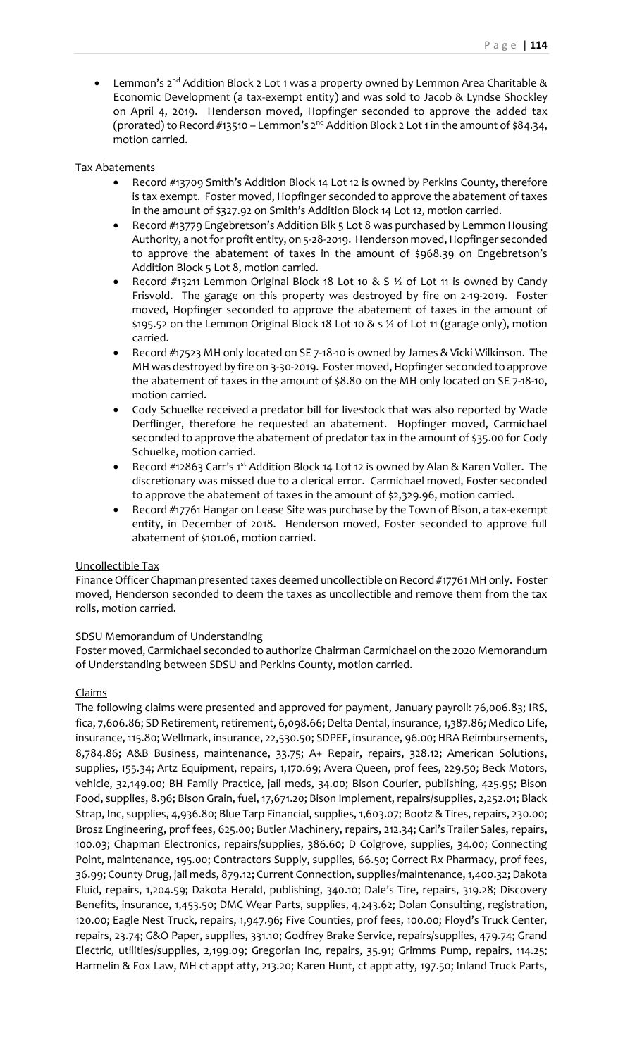Lemmon's 2<sup>nd</sup> Addition Block 2 Lot 1 was a property owned by Lemmon Area Charitable & Economic Development (a tax-exempt entity) and was sold to Jacob & Lyndse Shockley on April 4, 2019. Henderson moved, Hopfinger seconded to approve the added tax (prorated) to Record #13510 – Lemmon's  $2^{nd}$  Addition Block 2 Lot 1 in the amount of \$84.34, motion carried.

## Tax Abatements

- Record #13709 Smith's Addition Block 14 Lot 12 is owned by Perkins County, therefore is tax exempt. Foster moved, Hopfinger seconded to approve the abatement of taxes in the amount of \$327.92 on Smith's Addition Block 14 Lot 12, motion carried.
- Record #13779 Engebretson's Addition Blk 5 Lot 8 was purchased by Lemmon Housing Authority, a not for profit entity, on 5-28-2019. Henderson moved, Hopfinger seconded to approve the abatement of taxes in the amount of \$968.39 on Engebretson's Addition Block 5 Lot 8, motion carried.
- Record #13211 Lemmon Original Block 18 Lot 10 & S 1/2 of Lot 11 is owned by Candy Frisvold. The garage on this property was destroyed by fire on 2-19-2019. Foster moved, Hopfinger seconded to approve the abatement of taxes in the amount of \$195.52 on the Lemmon Original Block 18 Lot 10 & s ½ of Lot 11 (garage only), motion carried.
- Record #17523 MH only located on SE 7-18-10 is owned by James & Vicki Wilkinson. The MH was destroyed by fire on 3-30-2019. Foster moved, Hopfinger seconded to approve the abatement of taxes in the amount of \$8.80 on the MH only located on SE 7-18-10, motion carried.
- Cody Schuelke received a predator bill for livestock that was also reported by Wade Derflinger, therefore he requested an abatement. Hopfinger moved, Carmichael seconded to approve the abatement of predator tax in the amount of \$35.00 for Cody Schuelke, motion carried.
- Record #12863 Carr's 1<sup>st</sup> Addition Block 14 Lot 12 is owned by Alan & Karen Voller. The discretionary was missed due to a clerical error. Carmichael moved, Foster seconded to approve the abatement of taxes in the amount of \$2,329.96, motion carried.
- Record #17761 Hangar on Lease Site was purchase by the Town of Bison, a tax-exempt entity, in December of 2018. Henderson moved, Foster seconded to approve full abatement of \$101.06, motion carried.

## Uncollectible Tax

Finance Officer Chapman presented taxes deemed uncollectible on Record #17761 MH only. Foster moved, Henderson seconded to deem the taxes as uncollectible and remove them from the tax rolls, motion carried.

# SDSU Memorandum of Understanding

Foster moved, Carmichael seconded to authorize Chairman Carmichael on the 2020 Memorandum of Understanding between SDSU and Perkins County, motion carried.

# Claims

The following claims were presented and approved for payment, January payroll: 76,006.83; IRS, fica, 7,606.86; SD Retirement, retirement, 6,098.66; Delta Dental, insurance, 1,387.86; Medico Life, insurance, 115.80; Wellmark, insurance, 22,530.50; SDPEF, insurance, 96.00; HRA Reimbursements, 8,784.86; A&B Business, maintenance, 33.75; A+ Repair, repairs, 328.12; American Solutions, supplies, 155.34; Artz Equipment, repairs, 1,170.69; Avera Queen, prof fees, 229.50; Beck Motors, vehicle, 32,149.00; BH Family Practice, jail meds, 34.00; Bison Courier, publishing, 425.95; Bison Food, supplies, 8.96; Bison Grain, fuel, 17,671.20; Bison Implement, repairs/supplies, 2,252.01; Black Strap, Inc, supplies, 4,936.80; Blue Tarp Financial, supplies, 1,603.07; Bootz & Tires, repairs, 230.00; Brosz Engineering, prof fees, 625.00; Butler Machinery, repairs, 212.34; Carl's Trailer Sales, repairs, 100.03; Chapman Electronics, repairs/supplies, 386.60; D Colgrove, supplies, 34.00; Connecting Point, maintenance, 195.00; Contractors Supply, supplies, 66.50; Correct Rx Pharmacy, prof fees, 36.99; County Drug, jail meds, 879.12; Current Connection, supplies/maintenance, 1,400.32; Dakota Fluid, repairs, 1,204.59; Dakota Herald, publishing, 340.10; Dale's Tire, repairs, 319.28; Discovery Benefits, insurance, 1,453.50; DMC Wear Parts, supplies, 4,243.62; Dolan Consulting, registration, 120.00; Eagle Nest Truck, repairs, 1,947.96; Five Counties, prof fees, 100.00; Floyd's Truck Center, repairs, 23.74; G&O Paper, supplies, 331.10; Godfrey Brake Service, repairs/supplies, 479.74; Grand Electric, utilities/supplies, 2,199.09; Gregorian Inc, repairs, 35.91; Grimms Pump, repairs, 114.25; Harmelin & Fox Law, MH ct appt atty, 213.20; Karen Hunt, ct appt atty, 197.50; Inland Truck Parts,